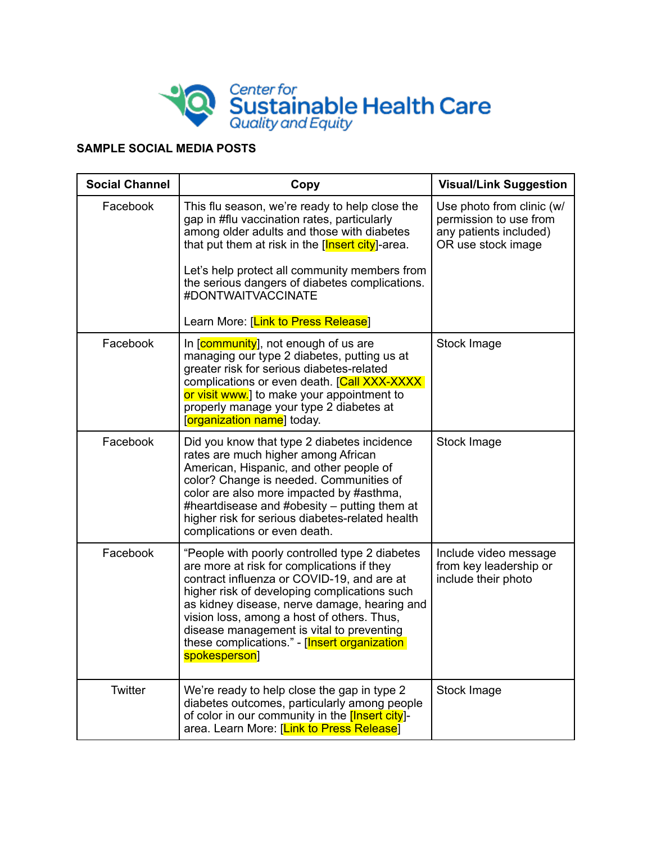

## **SAMPLE SOCIAL MEDIA POSTS**

| <b>Social Channel</b> | Copy                                                                                                                                                                                                                                                                                                                                                                                                    | <b>Visual/Link Suggestion</b>                                                                       |
|-----------------------|---------------------------------------------------------------------------------------------------------------------------------------------------------------------------------------------------------------------------------------------------------------------------------------------------------------------------------------------------------------------------------------------------------|-----------------------------------------------------------------------------------------------------|
| Facebook              | This flu season, we're ready to help close the<br>gap in #flu vaccination rates, particularly<br>among older adults and those with diabetes<br>that put them at risk in the [Insert city]-area.<br>Let's help protect all community members from<br>the serious dangers of diabetes complications.<br>#DONTWAITVACCINATE                                                                                | Use photo from clinic (w/<br>permission to use from<br>any patients included)<br>OR use stock image |
|                       | Learn More: [Link to Press Release]                                                                                                                                                                                                                                                                                                                                                                     |                                                                                                     |
| Facebook              | In [community], not enough of us are<br>managing our type 2 diabetes, putting us at<br>greater risk for serious diabetes-related<br>complications or even death. [Call XXX-XXXX<br>or visit www.] to make your appointment to<br>properly manage your type 2 diabetes at<br>[organization name] today.                                                                                                  | Stock Image                                                                                         |
| Facebook              | Did you know that type 2 diabetes incidence<br>rates are much higher among African<br>American, Hispanic, and other people of<br>color? Change is needed. Communities of<br>color are also more impacted by #asthma,<br>#heartdisease and #obesity $-$ putting them at<br>higher risk for serious diabetes-related health<br>complications or even death.                                               | Stock Image                                                                                         |
| Facebook              | "People with poorly controlled type 2 diabetes<br>are more at risk for complications if they<br>contract influenza or COVID-19, and are at<br>higher risk of developing complications such<br>as kidney disease, nerve damage, hearing and<br>vision loss, among a host of others. Thus,<br>disease management is vital to preventing<br>these complications." - [Insert organization]<br>spokesperson] | Include video message<br>from key leadership or<br>include their photo                              |
| <b>Twitter</b>        | We're ready to help close the gap in type 2<br>diabetes outcomes, particularly among people<br>of color in our community in the [Insert city]-<br>area. Learn More: [Link to Press Release]                                                                                                                                                                                                             | Stock Image                                                                                         |